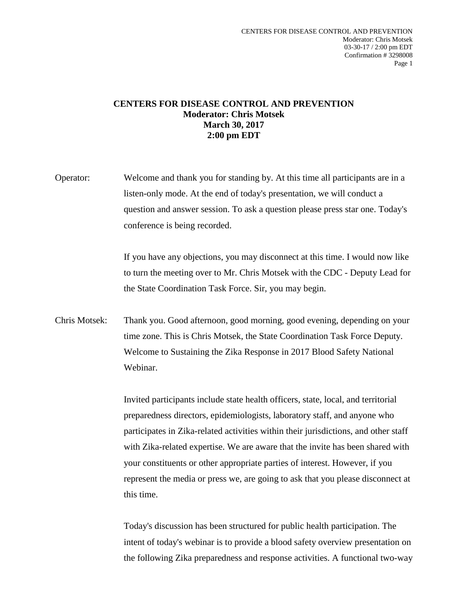## **CENTERS FOR DISEASE CONTROL AND PREVENTION Moderator: Chris Motsek March 30, 2017 2:00 pm EDT**

Operator: Welcome and thank you for standing by. At this time all participants are in a listen-only mode. At the end of today's presentation, we will conduct a question and answer session. To ask a question please press star one. Today's conference is being recorded.

> If you have any objections, you may disconnect at this time. I would now like to turn the meeting over to Mr. Chris Motsek with the CDC - Deputy Lead for the State Coordination Task Force. Sir, you may begin.

Chris Motsek: Thank you. Good afternoon, good morning, good evening, depending on your time zone. This is Chris Motsek, the State Coordination Task Force Deputy. Welcome to Sustaining the Zika Response in 2017 Blood Safety National Webinar.

> Invited participants include state health officers, state, local, and territorial preparedness directors, epidemiologists, laboratory staff, and anyone who participates in Zika-related activities within their jurisdictions, and other staff with Zika-related expertise. We are aware that the invite has been shared with your constituents or other appropriate parties of interest. However, if you represent the media or press we, are going to ask that you please disconnect at this time.

> Today's discussion has been structured for public health participation. The intent of today's webinar is to provide a blood safety overview presentation on the following Zika preparedness and response activities. A functional two-way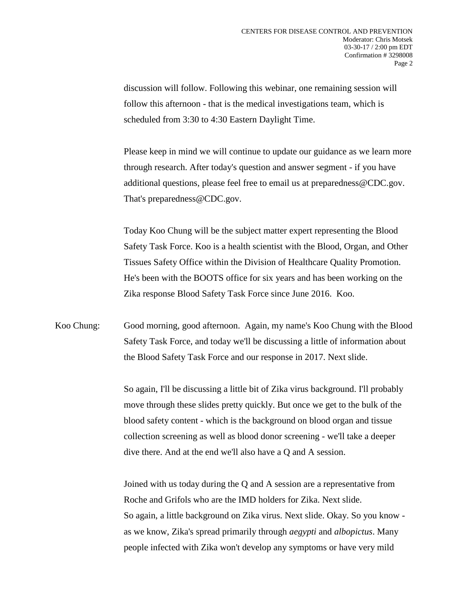discussion will follow. Following this webinar, one remaining session will follow this afternoon - that is the medical investigations team, which is scheduled from 3:30 to 4:30 Eastern Daylight Time.

Please keep in mind we will continue to update our guidance as we learn more through research. After today's question and answer segment - if you have additional questions, please feel free to email us at preparedness@CDC.gov. That's preparedness@CDC.gov.

Today Koo Chung will be the subject matter expert representing the Blood Safety Task Force. Koo is a health scientist with the Blood, Organ, and Other Tissues Safety Office within the Division of Healthcare Quality Promotion. He's been with the BOOTS office for six years and has been working on the Zika response Blood Safety Task Force since June 2016. Koo.

Koo Chung: Good morning, good afternoon. Again, my name's Koo Chung with the Blood Safety Task Force, and today we'll be discussing a little of information about the Blood Safety Task Force and our response in 2017. Next slide.

> So again, I'll be discussing a little bit of Zika virus background. I'll probably move through these slides pretty quickly. But once we get to the bulk of the blood safety content - which is the background on blood organ and tissue collection screening as well as blood donor screening - we'll take a deeper dive there. And at the end we'll also have a Q and A session.

> Joined with us today during the Q and A session are a representative from Roche and Grifols who are the IMD holders for Zika. Next slide. So again, a little background on Zika virus. Next slide. Okay. So you know as we know, Zika's spread primarily through *aegypti* and *albopictus*. Many people infected with Zika won't develop any symptoms or have very mild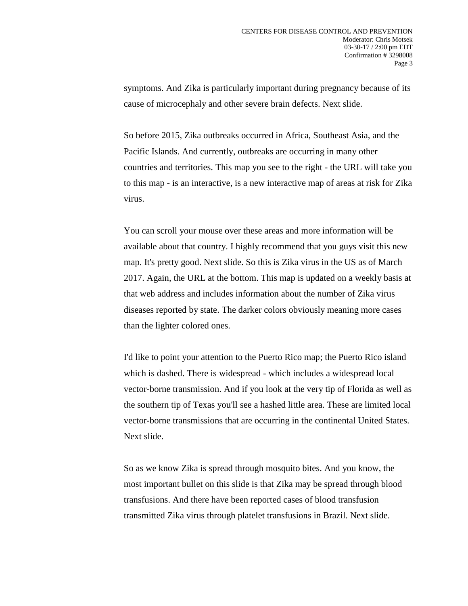symptoms. And Zika is particularly important during pregnancy because of its cause of microcephaly and other severe brain defects. Next slide.

So before 2015, Zika outbreaks occurred in Africa, Southeast Asia, and the Pacific Islands. And currently, outbreaks are occurring in many other countries and territories. This map you see to the right - the URL will take you to this map - is an interactive, is a new interactive map of areas at risk for Zika virus.

You can scroll your mouse over these areas and more information will be available about that country. I highly recommend that you guys visit this new map. It's pretty good. Next slide. So this is Zika virus in the US as of March 2017. Again, the URL at the bottom. This map is updated on a weekly basis at that web address and includes information about the number of Zika virus diseases reported by state. The darker colors obviously meaning more cases than the lighter colored ones.

I'd like to point your attention to the Puerto Rico map; the Puerto Rico island which is dashed. There is widespread - which includes a widespread local vector-borne transmission. And if you look at the very tip of Florida as well as the southern tip of Texas you'll see a hashed little area. These are limited local vector-borne transmissions that are occurring in the continental United States. Next slide.

So as we know Zika is spread through mosquito bites. And you know, the most important bullet on this slide is that Zika may be spread through blood transfusions. And there have been reported cases of blood transfusion transmitted Zika virus through platelet transfusions in Brazil. Next slide.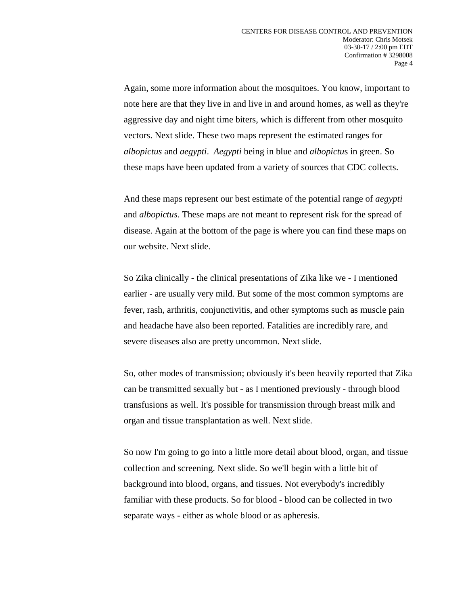Again, some more information about the mosquitoes. You know, important to note here are that they live in and live in and around homes, as well as they're aggressive day and night time biters, which is different from other mosquito vectors. Next slide. These two maps represent the estimated ranges for *albopictus* and *aegypti*. *Aegypti* being in blue and *albopictu*s in green. So these maps have been updated from a variety of sources that CDC collects.

And these maps represent our best estimate of the potential range of *aegypti* and *albopictus*. These maps are not meant to represent risk for the spread of disease. Again at the bottom of the page is where you can find these maps on our website. Next slide.

So Zika clinically - the clinical presentations of Zika like we - I mentioned earlier - are usually very mild. But some of the most common symptoms are fever, rash, arthritis, conjunctivitis, and other symptoms such as muscle pain and headache have also been reported. Fatalities are incredibly rare, and severe diseases also are pretty uncommon. Next slide.

So, other modes of transmission; obviously it's been heavily reported that Zika can be transmitted sexually but - as I mentioned previously - through blood transfusions as well. It's possible for transmission through breast milk and organ and tissue transplantation as well. Next slide.

So now I'm going to go into a little more detail about blood, organ, and tissue collection and screening. Next slide. So we'll begin with a little bit of background into blood, organs, and tissues. Not everybody's incredibly familiar with these products. So for blood - blood can be collected in two separate ways - either as whole blood or as apheresis.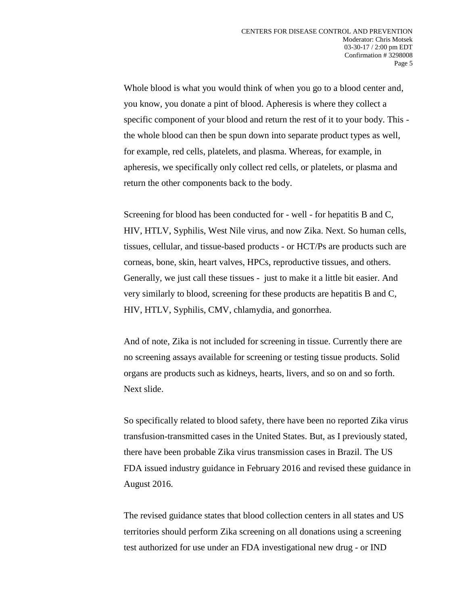Whole blood is what you would think of when you go to a blood center and, you know, you donate a pint of blood. Apheresis is where they collect a specific component of your blood and return the rest of it to your body. This the whole blood can then be spun down into separate product types as well, for example, red cells, platelets, and plasma. Whereas, for example, in apheresis, we specifically only collect red cells, or platelets, or plasma and return the other components back to the body.

Screening for blood has been conducted for - well - for hepatitis B and C, HIV, HTLV, Syphilis, West Nile virus, and now Zika. Next. So human cells, tissues, cellular, and tissue-based products - or HCT/Ps are products such are corneas, bone, skin, heart valves, HPCs, reproductive tissues, and others. Generally, we just call these tissues - just to make it a little bit easier. And very similarly to blood, screening for these products are hepatitis B and C, HIV, HTLV, Syphilis, CMV, chlamydia, and gonorrhea.

And of note, Zika is not included for screening in tissue. Currently there are no screening assays available for screening or testing tissue products. Solid organs are products such as kidneys, hearts, livers, and so on and so forth. Next slide.

So specifically related to blood safety, there have been no reported Zika virus transfusion-transmitted cases in the United States. But, as I previously stated, there have been probable Zika virus transmission cases in Brazil. The US FDA issued industry guidance in February 2016 and revised these guidance in August 2016.

The revised guidance states that blood collection centers in all states and US territories should perform Zika screening on all donations using a screening test authorized for use under an FDA investigational new drug - or IND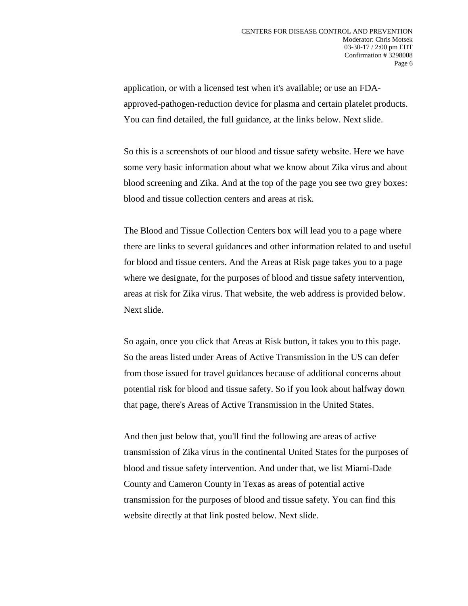application, or with a licensed test when it's available; or use an FDAapproved-pathogen-reduction device for plasma and certain platelet products. You can find detailed, the full guidance, at the links below. Next slide.

So this is a screenshots of our blood and tissue safety website. Here we have some very basic information about what we know about Zika virus and about blood screening and Zika. And at the top of the page you see two grey boxes: blood and tissue collection centers and areas at risk.

The Blood and Tissue Collection Centers box will lead you to a page where there are links to several guidances and other information related to and useful for blood and tissue centers. And the Areas at Risk page takes you to a page where we designate, for the purposes of blood and tissue safety intervention, areas at risk for Zika virus. That website, the web address is provided below. Next slide.

So again, once you click that Areas at Risk button, it takes you to this page. So the areas listed under Areas of Active Transmission in the US can defer from those issued for travel guidances because of additional concerns about potential risk for blood and tissue safety. So if you look about halfway down that page, there's Areas of Active Transmission in the United States.

And then just below that, you'll find the following are areas of active transmission of Zika virus in the continental United States for the purposes of blood and tissue safety intervention. And under that, we list Miami-Dade County and Cameron County in Texas as areas of potential active transmission for the purposes of blood and tissue safety. You can find this website directly at that link posted below. Next slide.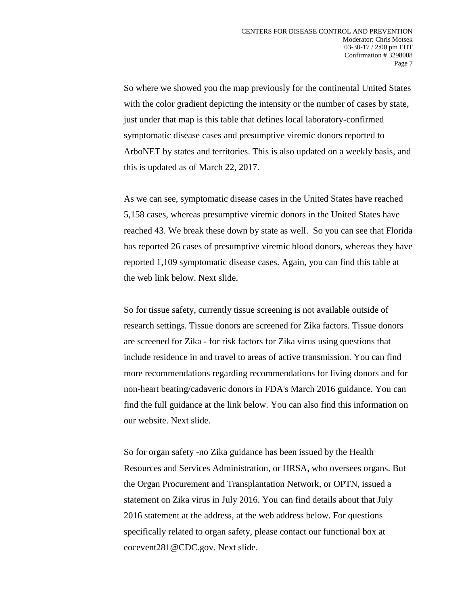So where we showed you the map previously for the continental United States with the color gradient depicting the intensity or the number of cases by state, just under that map is this table that defines local laboratory-confirmed symptomatic disease cases and presumptive viremic donors reported to ArboNET by states and territories. This is also updated on a weekly basis, and this is updated as of March 22, 2017.

As we can see, symptomatic disease cases in the United States have reached 5,158 cases, whereas presumptive viremic donors in the United States have reached 43. We break these down by state as well. So you can see that Florida has reported 26 cases of presumptive viremic blood donors, whereas they have reported 1,109 symptomatic disease cases. Again, you can find this table at the web link below. Next slide.

So for tissue safety, currently tissue screening is not available outside of research settings. Tissue donors are screened for Zika factors. Tissue donors are screened for Zika - for risk factors for Zika virus using questions that include residence in and travel to areas of active transmission. You can find more recommendations regarding recommendations for living donors and for non-heart beating/cadaveric donors in FDA's March 2016 guidance. You can find the full guidance at the link below. You can also find this information on our website. Next slide.

So for organ safety -no Zika guidance has been issued by the Health Resources and Services Administration, or HRSA, who oversees organs. But the Organ Procurement and Transplantation Network, or OPTN, issued a statement on Zika virus in July 2016. You can find details about that July 2016 statement at the address, at the web address below. For questions specifically related to organ safety, please contact our functional box at eocevent281@CDC.gov. Next slide.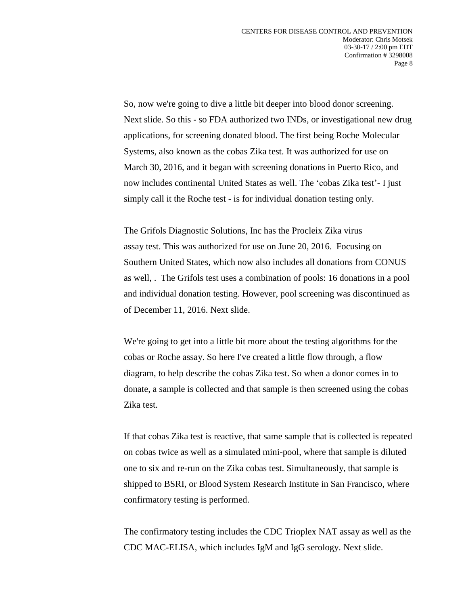So, now we're going to dive a little bit deeper into blood donor screening. Next slide. So this - so FDA authorized two INDs, or investigational new drug applications, for screening donated blood. The first being Roche Molecular Systems, also known as the cobas Zika test. It was authorized for use on March 30, 2016, and it began with screening donations in Puerto Rico, and now includes continental United States as well. The 'cobas Zika test'- I just simply call it the Roche test - is for individual donation testing only.

The Grifols Diagnostic Solutions, Inc has the Procleix Zika virus assay test. This was authorized for use on June 20, 2016. Focusing on Southern United States, which now also includes all donations from CONUS as well, . The Grifols test uses a combination of pools: 16 donations in a pool and individual donation testing. However, pool screening was discontinued as of December 11, 2016. Next slide.

We're going to get into a little bit more about the testing algorithms for the cobas or Roche assay. So here I've created a little flow through, a flow diagram, to help describe the cobas Zika test. So when a donor comes in to donate, a sample is collected and that sample is then screened using the cobas Zika test.

If that cobas Zika test is reactive, that same sample that is collected is repeated on cobas twice as well as a simulated mini-pool, where that sample is diluted one to six and re-run on the Zika cobas test. Simultaneously, that sample is shipped to BSRI, or Blood System Research Institute in San Francisco, where confirmatory testing is performed.

The confirmatory testing includes the CDC Trioplex NAT assay as well as the CDC MAC-ELISA, which includes IgM and IgG serology. Next slide.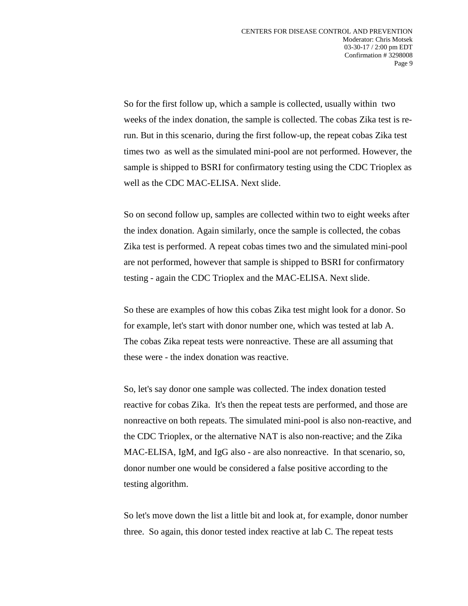So for the first follow up, which a sample is collected, usually within two weeks of the index donation, the sample is collected. The cobas Zika test is rerun. But in this scenario, during the first follow-up, the repeat cobas Zika test times two as well as the simulated mini-pool are not performed. However, the sample is shipped to BSRI for confirmatory testing using the CDC Trioplex as well as the CDC MAC-ELISA. Next slide.

So on second follow up, samples are collected within two to eight weeks after the index donation. Again similarly, once the sample is collected, the cobas Zika test is performed. A repeat cobas times two and the simulated mini-pool are not performed, however that sample is shipped to BSRI for confirmatory testing - again the CDC Trioplex and the MAC-ELISA. Next slide.

So these are examples of how this cobas Zika test might look for a donor. So for example, let's start with donor number one, which was tested at lab A. The cobas Zika repeat tests were nonreactive. These are all assuming that these were - the index donation was reactive.

So, let's say donor one sample was collected. The index donation tested reactive for cobas Zika. It's then the repeat tests are performed, and those are nonreactive on both repeats. The simulated mini-pool is also non-reactive, and the CDC Trioplex, or the alternative NAT is also non-reactive; and the Zika MAC-ELISA, IgM, and IgG also - are also nonreactive. In that scenario, so, donor number one would be considered a false positive according to the testing algorithm.

So let's move down the list a little bit and look at, for example, donor number three. So again, this donor tested index reactive at lab C. The repeat tests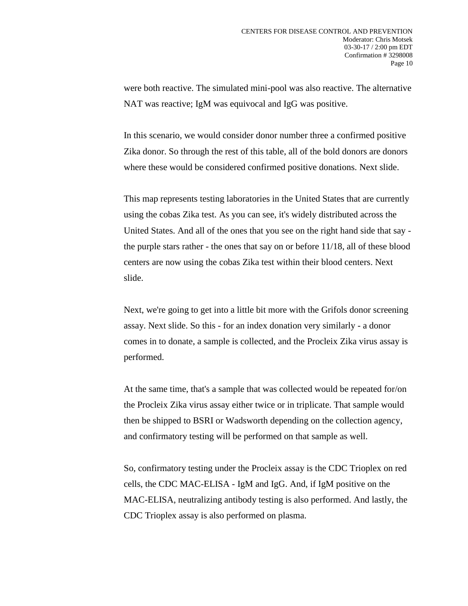were both reactive. The simulated mini-pool was also reactive. The alternative NAT was reactive; IgM was equivocal and IgG was positive.

In this scenario, we would consider donor number three a confirmed positive Zika donor. So through the rest of this table, all of the bold donors are donors where these would be considered confirmed positive donations. Next slide.

This map represents testing laboratories in the United States that are currently using the cobas Zika test. As you can see, it's widely distributed across the United States. And all of the ones that you see on the right hand side that say the purple stars rather - the ones that say on or before 11/18, all of these blood centers are now using the cobas Zika test within their blood centers. Next slide.

Next, we're going to get into a little bit more with the Grifols donor screening assay. Next slide. So this - for an index donation very similarly - a donor comes in to donate, a sample is collected, and the Procleix Zika virus assay is performed.

At the same time, that's a sample that was collected would be repeated for/on the Procleix Zika virus assay either twice or in triplicate. That sample would then be shipped to BSRI or Wadsworth depending on the collection agency, and confirmatory testing will be performed on that sample as well.

So, confirmatory testing under the Procleix assay is the CDC Trioplex on red cells, the CDC MAC-ELISA - IgM and IgG. And, if IgM positive on the MAC-ELISA, neutralizing antibody testing is also performed. And lastly, the CDC Trioplex assay is also performed on plasma.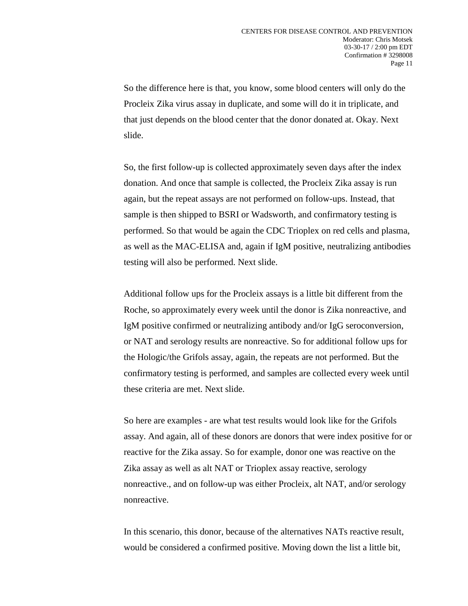So the difference here is that, you know, some blood centers will only do the Procleix Zika virus assay in duplicate, and some will do it in triplicate, and that just depends on the blood center that the donor donated at. Okay. Next slide.

So, the first follow-up is collected approximately seven days after the index donation. And once that sample is collected, the Procleix Zika assay is run again, but the repeat assays are not performed on follow-ups. Instead, that sample is then shipped to BSRI or Wadsworth, and confirmatory testing is performed. So that would be again the CDC Trioplex on red cells and plasma, as well as the MAC-ELISA and, again if IgM positive, neutralizing antibodies testing will also be performed. Next slide.

Additional follow ups for the Procleix assays is a little bit different from the Roche, so approximately every week until the donor is Zika nonreactive, and IgM positive confirmed or neutralizing antibody and/or IgG seroconversion, or NAT and serology results are nonreactive. So for additional follow ups for the Hologic/the Grifols assay, again, the repeats are not performed. But the confirmatory testing is performed, and samples are collected every week until these criteria are met. Next slide.

So here are examples - are what test results would look like for the Grifols assay. And again, all of these donors are donors that were index positive for or reactive for the Zika assay. So for example, donor one was reactive on the Zika assay as well as alt NAT or Trioplex assay reactive, serology nonreactive., and on follow-up was either Procleix, alt NAT, and/or serology nonreactive.

In this scenario, this donor, because of the alternatives NATs reactive result, would be considered a confirmed positive. Moving down the list a little bit,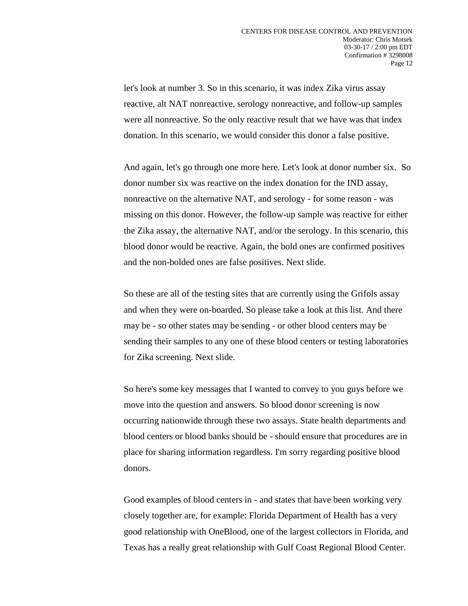let's look at number 3. So in this scenario, it was index Zika virus assay reactive, alt NAT nonreactive, serology nonreactive, and follow-up samples were all nonreactive. So the only reactive result that we have was that index donation. In this scenario, we would consider this donor a false positive.

And again, let's go through one more here. Let's look at donor number six. So donor number six was reactive on the index donation for the IND assay, nonreactive on the alternative NAT, and serology - for some reason - was missing on this donor. However, the follow-up sample was reactive for either the Zika assay, the alternative NAT, and/or the serology. In this scenario, this blood donor would be reactive. Again, the bold ones are confirmed positives and the non-bolded ones are false positives. Next slide.

So these are all of the testing sites that are currently using the Grifols assay and when they were on-boarded. So please take a look at this list. And there may be - so other states may be sending - or other blood centers may be sending their samples to any one of these blood centers or testing laboratories for Zika screening. Next slide.

So here's some key messages that I wanted to convey to you guys before we move into the question and answers. So blood donor screening is now occurring nationwide through these two assays. State health departments and blood centers or blood banks should be - should ensure that procedures are in place for sharing information regardless. I'm sorry regarding positive blood donors.

Good examples of blood centers in - and states that have been working very closely together are, for example: Florida Department of Health has a very good relationship with OneBlood, one of the largest collectors in Florida, and Texas has a really great relationship with Gulf Coast Regional Blood Center.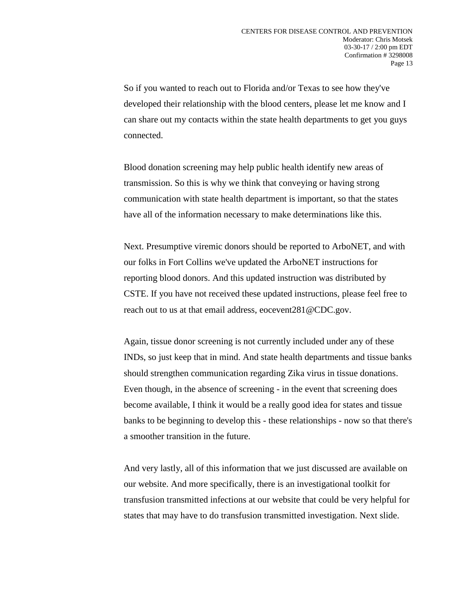So if you wanted to reach out to Florida and/or Texas to see how they've developed their relationship with the blood centers, please let me know and I can share out my contacts within the state health departments to get you guys connected.

Blood donation screening may help public health identify new areas of transmission. So this is why we think that conveying or having strong communication with state health department is important, so that the states have all of the information necessary to make determinations like this.

Next. Presumptive viremic donors should be reported to ArboNET, and with our folks in Fort Collins we've updated the ArboNET instructions for reporting blood donors. And this updated instruction was distributed by CSTE. If you have not received these updated instructions, please feel free to reach out to us at that email address, eocevent281@CDC.gov.

Again, tissue donor screening is not currently included under any of these INDs, so just keep that in mind. And state health departments and tissue banks should strengthen communication regarding Zika virus in tissue donations. Even though, in the absence of screening - in the event that screening does become available, I think it would be a really good idea for states and tissue banks to be beginning to develop this - these relationships - now so that there's a smoother transition in the future.

And very lastly, all of this information that we just discussed are available on our website. And more specifically, there is an investigational toolkit for transfusion transmitted infections at our website that could be very helpful for states that may have to do transfusion transmitted investigation. Next slide.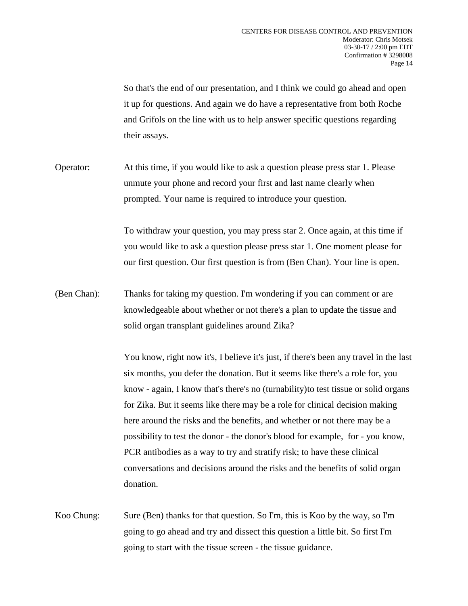So that's the end of our presentation, and I think we could go ahead and open it up for questions. And again we do have a representative from both Roche and Grifols on the line with us to help answer specific questions regarding their assays.

Operator: At this time, if you would like to ask a question please press star 1. Please unmute your phone and record your first and last name clearly when prompted. Your name is required to introduce your question.

> To withdraw your question, you may press star 2. Once again, at this time if you would like to ask a question please press star 1. One moment please for our first question. Our first question is from (Ben Chan). Your line is open.

(Ben Chan): Thanks for taking my question. I'm wondering if you can comment or are knowledgeable about whether or not there's a plan to update the tissue and solid organ transplant guidelines around Zika?

> You know, right now it's, I believe it's just, if there's been any travel in the last six months, you defer the donation. But it seems like there's a role for, you know - again, I know that's there's no (turnability)to test tissue or solid organs for Zika. But it seems like there may be a role for clinical decision making here around the risks and the benefits, and whether or not there may be a possibility to test the donor - the donor's blood for example, for - you know, PCR antibodies as a way to try and stratify risk; to have these clinical conversations and decisions around the risks and the benefits of solid organ donation.

Koo Chung: Sure (Ben) thanks for that question. So I'm, this is Koo by the way, so I'm going to go ahead and try and dissect this question a little bit. So first I'm going to start with the tissue screen - the tissue guidance.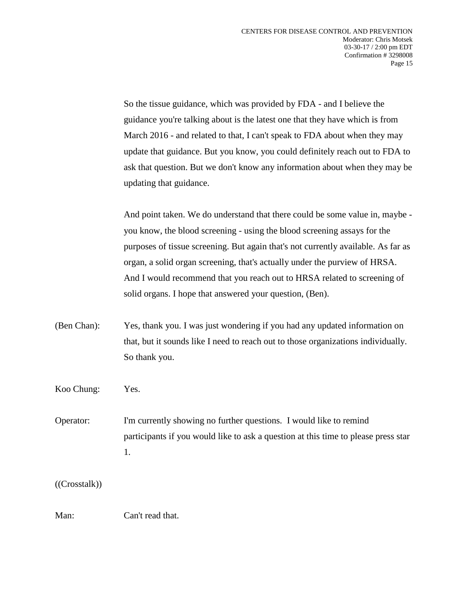So the tissue guidance, which was provided by FDA - and I believe the guidance you're talking about is the latest one that they have which is from March 2016 - and related to that, I can't speak to FDA about when they may update that guidance. But you know, you could definitely reach out to FDA to ask that question. But we don't know any information about when they may be updating that guidance.

And point taken. We do understand that there could be some value in, maybe you know, the blood screening - using the blood screening assays for the purposes of tissue screening. But again that's not currently available. As far as organ, a solid organ screening, that's actually under the purview of HRSA. And I would recommend that you reach out to HRSA related to screening of solid organs. I hope that answered your question, (Ben).

(Ben Chan): Yes, thank you. I was just wondering if you had any updated information on that, but it sounds like I need to reach out to those organizations individually. So thank you.

Koo Chung: Yes.

Operator: I'm currently showing no further questions. I would like to remind participants if you would like to ask a question at this time to please press star 1.

((Crosstalk))

Man: Can't read that.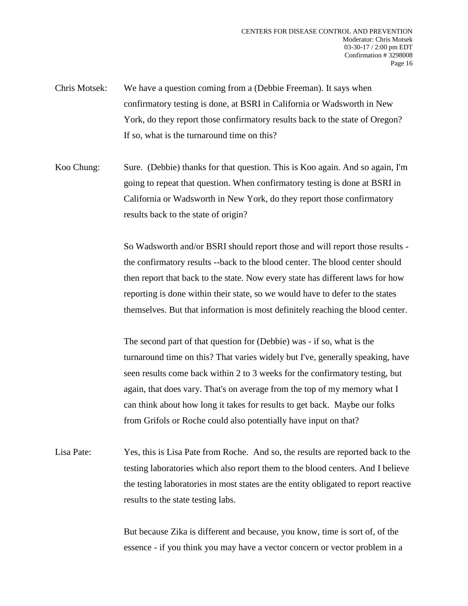- Chris Motsek: We have a question coming from a (Debbie Freeman). It says when confirmatory testing is done, at BSRI in California or Wadsworth in New York, do they report those confirmatory results back to the state of Oregon? If so, what is the turnaround time on this?
- Koo Chung: Sure. (Debbie) thanks for that question. This is Koo again. And so again, I'm going to repeat that question. When confirmatory testing is done at BSRI in California or Wadsworth in New York, do they report those confirmatory results back to the state of origin?

So Wadsworth and/or BSRI should report those and will report those results the confirmatory results --back to the blood center. The blood center should then report that back to the state. Now every state has different laws for how reporting is done within their state, so we would have to defer to the states themselves. But that information is most definitely reaching the blood center.

The second part of that question for (Debbie) was - if so, what is the turnaround time on this? That varies widely but I've, generally speaking, have seen results come back within 2 to 3 weeks for the confirmatory testing, but again, that does vary. That's on average from the top of my memory what I can think about how long it takes for results to get back. Maybe our folks from Grifols or Roche could also potentially have input on that?

Lisa Pate: Yes, this is Lisa Pate from Roche. And so, the results are reported back to the testing laboratories which also report them to the blood centers. And I believe the testing laboratories in most states are the entity obligated to report reactive results to the state testing labs.

> But because Zika is different and because, you know, time is sort of, of the essence - if you think you may have a vector concern or vector problem in a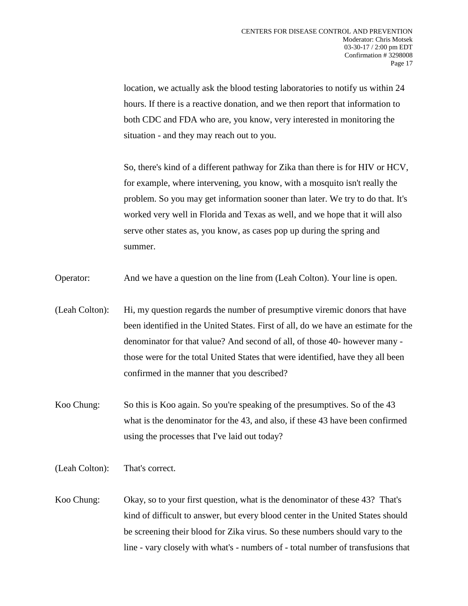location, we actually ask the blood testing laboratories to notify us within 24 hours. If there is a reactive donation, and we then report that information to both CDC and FDA who are, you know, very interested in monitoring the situation - and they may reach out to you.

So, there's kind of a different pathway for Zika than there is for HIV or HCV, for example, where intervening, you know, with a mosquito isn't really the problem. So you may get information sooner than later. We try to do that. It's worked very well in Florida and Texas as well, and we hope that it will also serve other states as, you know, as cases pop up during the spring and summer.

Operator: And we have a question on the line from (Leah Colton). Your line is open.

- (Leah Colton): Hi, my question regards the number of presumptive viremic donors that have been identified in the United States. First of all, do we have an estimate for the denominator for that value? And second of all, of those 40- however many those were for the total United States that were identified, have they all been confirmed in the manner that you described?
- Koo Chung: So this is Koo again. So you're speaking of the presumptives. So of the 43 what is the denominator for the 43, and also, if these 43 have been confirmed using the processes that I've laid out today?
- (Leah Colton): That's correct.
- Koo Chung: Okay, so to your first question, what is the denominator of these 43? That's kind of difficult to answer, but every blood center in the United States should be screening their blood for Zika virus. So these numbers should vary to the line - vary closely with what's - numbers of - total number of transfusions that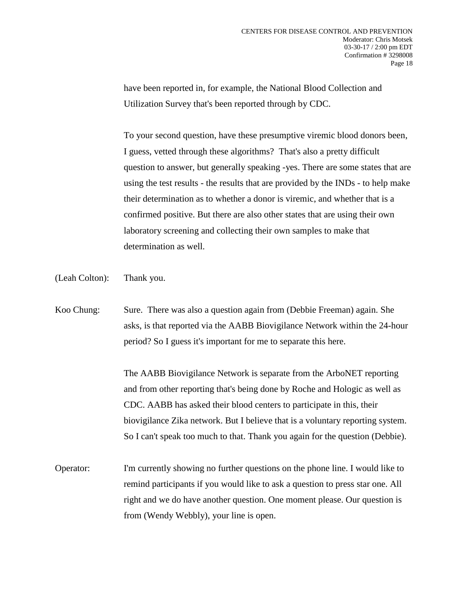have been reported in, for example, the National Blood Collection and Utilization Survey that's been reported through by CDC.

To your second question, have these presumptive viremic blood donors been, I guess, vetted through these algorithms? That's also a pretty difficult question to answer, but generally speaking -yes. There are some states that are using the test results - the results that are provided by the INDs - to help make their determination as to whether a donor is viremic, and whether that is a confirmed positive. But there are also other states that are using their own laboratory screening and collecting their own samples to make that determination as well.

- (Leah Colton): Thank you.
- Koo Chung: Sure. There was also a question again from (Debbie Freeman) again. She asks, is that reported via the AABB Biovigilance Network within the 24-hour period? So I guess it's important for me to separate this here.

The AABB Biovigilance Network is separate from the ArboNET reporting and from other reporting that's being done by Roche and Hologic as well as CDC. AABB has asked their blood centers to participate in this, their biovigilance Zika network. But I believe that is a voluntary reporting system. So I can't speak too much to that. Thank you again for the question (Debbie).

Operator: I'm currently showing no further questions on the phone line. I would like to remind participants if you would like to ask a question to press star one. All right and we do have another question. One moment please. Our question is from (Wendy Webbly), your line is open.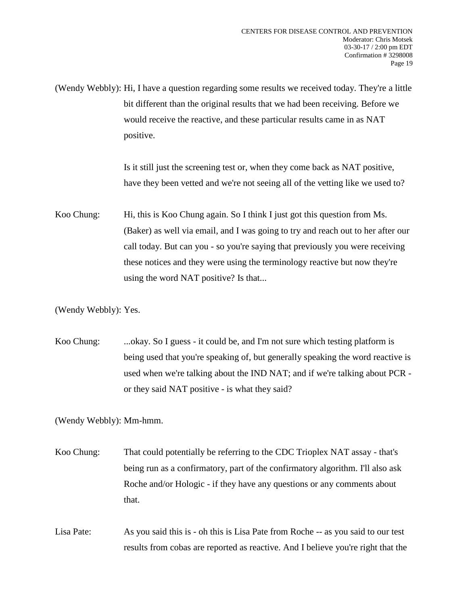(Wendy Webbly): Hi, I have a question regarding some results we received today. They're a little bit different than the original results that we had been receiving. Before we would receive the reactive, and these particular results came in as NAT positive.

> Is it still just the screening test or, when they come back as NAT positive, have they been vetted and we're not seeing all of the vetting like we used to?

Koo Chung: Hi, this is Koo Chung again. So I think I just got this question from Ms. (Baker) as well via email, and I was going to try and reach out to her after our call today. But can you - so you're saying that previously you were receiving these notices and they were using the terminology reactive but now they're using the word NAT positive? Is that...

(Wendy Webbly): Yes.

Koo Chung: ...okay. So I guess - it could be, and I'm not sure which testing platform is being used that you're speaking of, but generally speaking the word reactive is used when we're talking about the IND NAT; and if we're talking about PCR or they said NAT positive - is what they said?

(Wendy Webbly): Mm-hmm.

Koo Chung: That could potentially be referring to the CDC Trioplex NAT assay - that's being run as a confirmatory, part of the confirmatory algorithm. I'll also ask Roche and/or Hologic - if they have any questions or any comments about that.

Lisa Pate: As you said this is - oh this is Lisa Pate from Roche -- as you said to our test results from cobas are reported as reactive. And I believe you're right that the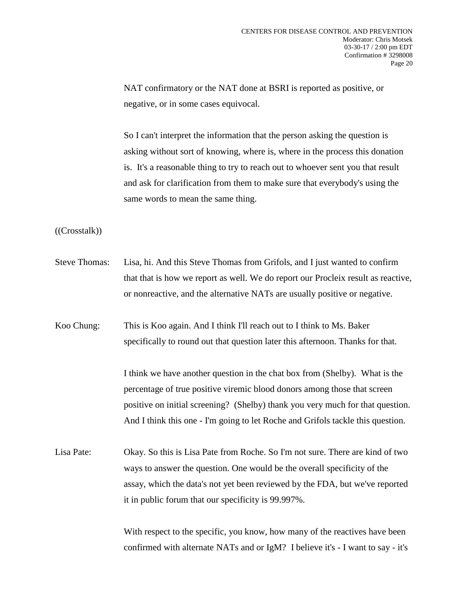NAT confirmatory or the NAT done at BSRI is reported as positive, or negative, or in some cases equivocal.

So I can't interpret the information that the person asking the question is asking without sort of knowing, where is, where in the process this donation is. It's a reasonable thing to try to reach out to whoever sent you that result and ask for clarification from them to make sure that everybody's using the same words to mean the same thing.

((Crosstalk))

- Steve Thomas: Lisa, hi. And this Steve Thomas from Grifols, and I just wanted to confirm that that is how we report as well. We do report our Procleix result as reactive, or nonreactive, and the alternative NATs are usually positive or negative.
- Koo Chung: This is Koo again. And I think I'll reach out to I think to Ms. Baker specifically to round out that question later this afternoon. Thanks for that.

I think we have another question in the chat box from (Shelby). What is the percentage of true positive viremic blood donors among those that screen positive on initial screening? (Shelby) thank you very much for that question. And I think this one - I'm going to let Roche and Grifols tackle this question.

Lisa Pate: Okay. So this is Lisa Pate from Roche. So I'm not sure. There are kind of two ways to answer the question. One would be the overall specificity of the assay, which the data's not yet been reviewed by the FDA, but we've reported it in public forum that our specificity is 99.997%.

> With respect to the specific, you know, how many of the reactives have been confirmed with alternate NATs and or IgM? I believe it's - I want to say - it's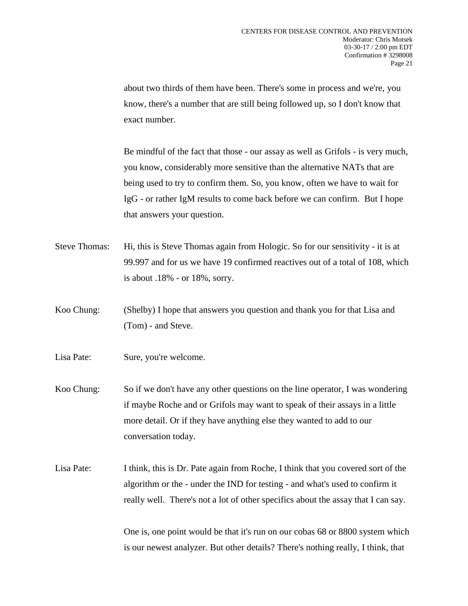about two thirds of them have been. There's some in process and we're, you know, there's a number that are still being followed up, so I don't know that exact number.

Be mindful of the fact that those - our assay as well as Grifols - is very much, you know, considerably more sensitive than the alternative NATs that are being used to try to confirm them. So, you know, often we have to wait for IgG - or rather IgM results to come back before we can confirm. But I hope that answers your question.

- Steve Thomas: Hi, this is Steve Thomas again from Hologic. So for our sensitivity it is at 99.997 and for us we have 19 confirmed reactives out of a total of 108, which is about .18% - or 18%, sorry.
- Koo Chung: (Shelby) I hope that answers you question and thank you for that Lisa and (Tom) - and Steve.
- Lisa Pate: Sure, you're welcome.
- Koo Chung: So if we don't have any other questions on the line operator, I was wondering if maybe Roche and or Grifols may want to speak of their assays in a little more detail. Or if they have anything else they wanted to add to our conversation today.
- Lisa Pate: I think, this is Dr. Pate again from Roche, I think that you covered sort of the algorithm or the - under the IND for testing - and what's used to confirm it really well. There's not a lot of other specifics about the assay that I can say.

One is, one point would be that it's run on our cobas 68 or 8800 system which is our newest analyzer. But other details? There's nothing really, I think, that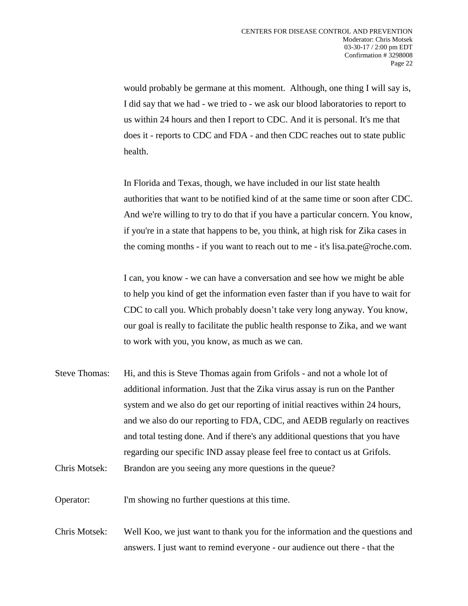would probably be germane at this moment. Although, one thing I will say is, I did say that we had - we tried to - we ask our blood laboratories to report to us within 24 hours and then I report to CDC. And it is personal. It's me that does it - reports to CDC and FDA - and then CDC reaches out to state public health.

In Florida and Texas, though, we have included in our list state health authorities that want to be notified kind of at the same time or soon after CDC. And we're willing to try to do that if you have a particular concern. You know, if you're in a state that happens to be, you think, at high risk for Zika cases in the coming months - if you want to reach out to me - it's lisa.pate@roche.com.

I can, you know - we can have a conversation and see how we might be able to help you kind of get the information even faster than if you have to wait for CDC to call you. Which probably doesn't take very long anyway. You know, our goal is really to facilitate the public health response to Zika, and we want to work with you, you know, as much as we can.

Steve Thomas: Hi, and this is Steve Thomas again from Grifols - and not a whole lot of additional information. Just that the Zika virus assay is run on the Panther system and we also do get our reporting of initial reactives within 24 hours, and we also do our reporting to FDA, CDC, and AEDB regularly on reactives and total testing done. And if there's any additional questions that you have regarding our specific IND assay please feel free to contact us at Grifols. Chris Motsek: Brandon are you seeing any more questions in the queue?

Operator: I'm showing no further questions at this time.

Chris Motsek: Well Koo, we just want to thank you for the information and the questions and answers. I just want to remind everyone - our audience out there - that the